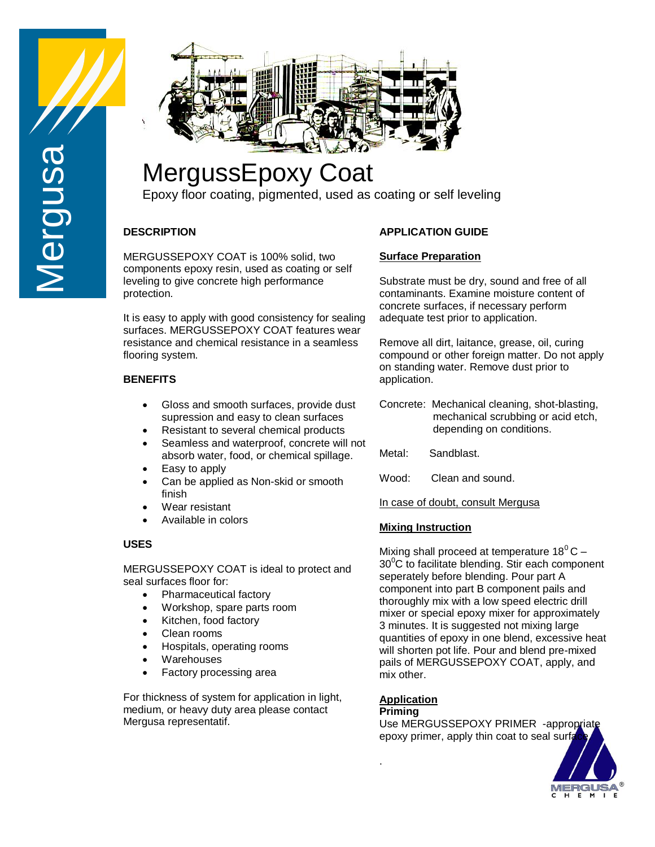



# MergussEpoxy Coat

Epoxy floor coating, pigmented, used as coating or self leveling

# **DESCRIPTION**

MERGUSSEPOXY COAT is 100% solid, two components epoxy resin, used as coating or self leveling to give concrete high performance protection.

It is easy to apply with good consistency for sealing surfaces. MERGUSSEPOXY COAT features wear resistance and chemical resistance in a seamless flooring system.

## **BENEFITS**

- Gloss and smooth surfaces, provide dust supression and easy to clean surfaces
- Resistant to several chemical products
- Seamless and waterproof, concrete will not absorb water, food, or chemical spillage.
- Easy to apply
- Can be applied as Non-skid or smooth finish
- Wear resistant
- Available in colors

# **USES**

MERGUSSEPOXY COAT is ideal to protect and seal surfaces floor for:

- Pharmaceutical factory
- Workshop, spare parts room
- Kitchen, food factory
- Clean rooms
- Hospitals, operating rooms
- Warehouses
- Factory processing area

For thickness of system for application in light, medium, or heavy duty area please contact Mergusa representatif.

# **APPLICATION GUIDE**

## **Surface Preparation**

Substrate must be dry, sound and free of all contaminants. Examine moisture content of concrete surfaces, if necessary perform adequate test prior to application.

Remove all dirt, laitance, grease, oil, curing compound or other foreign matter. Do not apply on standing water. Remove dust prior to application.

- Concrete: Mechanical cleaning, shot-blasting, mechanical scrubbing or acid etch, depending on conditions.
- Metal: Sandblast.
- Wood: Clean and sound.

In case of doubt, consult Mergusa

## **Mixing Instruction**

Mixing shall proceed at temperature  $18^{\circ}$ C –  $30^{\circ}$ C to facilitate blending. Stir each component seperately before blending. Pour part A component into part B component pails and thoroughly mix with a low speed electric drill mixer or special epoxy mixer for approximately 3 minutes. It is suggested not mixing large quantities of epoxy in one blend, excessive heat will shorten pot life. Pour and blend pre-mixed pails of MERGUSSEPOXY COAT, apply, and mix other.

## **Application**

#### **Priming**

.

Use MERGUSSEPOXY PRIMER -appropriate epoxy primer, apply thin coat to seal surface.

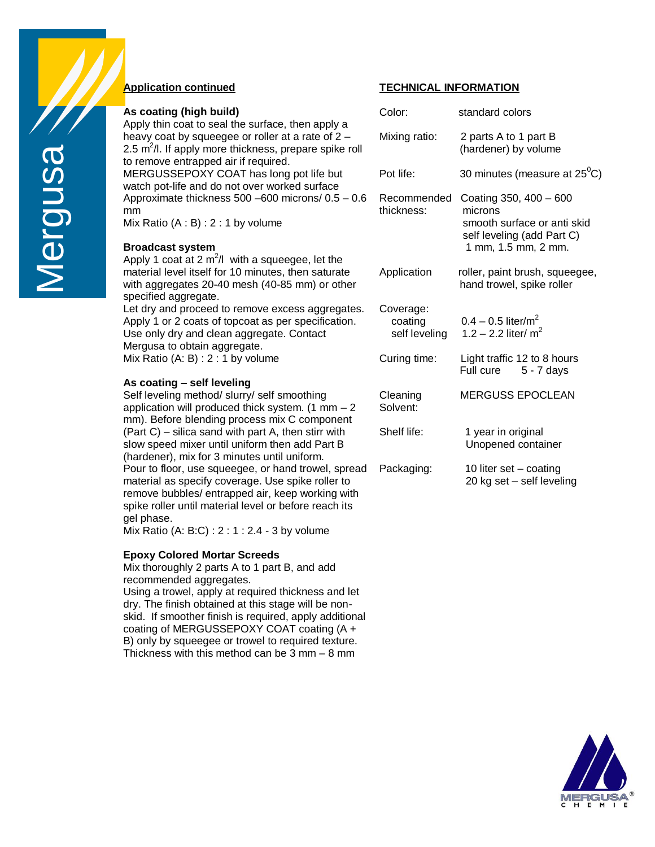

#### **Application continued**

| As coating (high build)                                                                                                                                                                                              | Color:                                | standard                                       |
|----------------------------------------------------------------------------------------------------------------------------------------------------------------------------------------------------------------------|---------------------------------------|------------------------------------------------|
| Apply thin coat to seal the surface, then apply a<br>heavy coat by squeegee or roller at a rate of 2 -<br>2.5 m <sup>2</sup> /l. If apply more thickness, prepare spike roll<br>to remove entrapped air if required. | Mixing ratio:                         | 2 parts A<br>(hardene                          |
| MERGUSSEPOXY COAT has long pot life but<br>watch pot-life and do not over worked surface                                                                                                                             | Pot life:                             | 30 minute                                      |
| Approximate thickness 500 -600 microns/ 0.5 - 0.6<br>mm<br>Mix Ratio $(A : B) : 2 : 1$ by volume                                                                                                                     | Recommended<br>thickness:             | Coating 3<br>microns<br>smooth s<br>self level |
| <b>Broadcast system</b>                                                                                                                                                                                              |                                       | 1 mm, 1                                        |
| Apply 1 coat at 2 $m^2/l$ with a squeegee, let the<br>material level itself for 10 minutes, then saturate<br>with aggregates 20-40 mesh (40-85 mm) or other<br>specified aggregate.                                  | Application                           | roller, pai<br>hand trov                       |
| Let dry and proceed to remove excess aggregates.<br>Apply 1 or 2 coats of topcoat as per specification.<br>Use only dry and clean aggregate. Contact<br>Mergusa to obtain aggregate.                                 | Coverage:<br>coating<br>self leveling | $0.4 - 0.5$<br>$1.2 - 2.2$                     |
| Mix Ratio $(A: B) : 2 : 1$ by volume                                                                                                                                                                                 | Curing time:                          | Light traft<br>Full cure                       |
| As coating - self leveling                                                                                                                                                                                           |                                       |                                                |
| Self leveling method/ slurry/ self smoothing<br>application will produced thick system. $(1 \text{ mm} - 2)$<br>mm). Before blending process mix C component                                                         | Cleaning<br>Solvent:                  | <b>MERGUS</b>                                  |
| (Part C) – silica sand with part A, then stirr with<br>slow speed mixer until uniform then add Part B<br>$(h$ ordonor) miy far $2$ minutoo until unifarm                                                             | Shelf life:                           | 1 year ir<br>Unopen                            |

(hardener), mix for 3 minutes until uniform. Pour to floor, use squeegee, or hand trowel, spread Pa material as specify coverage. Use spike roller to remove bubbles/ entrapped air, keep working with spike roller until material level or before reach its gel phase.

Mix Ratio (A: B:C) : 2 : 1 : 2.4 - 3 by volume

#### **Epoxy Colored Mortar Screeds**

Mix thoroughly 2 parts A to 1 part B, and add recommended aggregates.

Using a trowel, apply at required thickness and let dry. The finish obtained at this stage will be nonskid. If smoother finish is required, apply additional coating of MERGUSSEPOXY COAT coating (A + B) only by squeegee or trowel to required texture. Thickness with this method can be 3 mm – 8 mm

#### **TECHNICAL INFORMATION**

| Color:                                | standard colors                                                                                                       |
|---------------------------------------|-----------------------------------------------------------------------------------------------------------------------|
| Mixing ratio:                         | 2 parts A to 1 part B<br>(hardener) by volume                                                                         |
| Pot life:                             | 30 minutes (measure at $25^{\circ}$ C)                                                                                |
| Recommended<br>thickness:             | Coating 350, 400 - 600<br>microns<br>smooth surface or anti skid<br>self leveling (add Part C)<br>1 mm, 1.5 mm, 2 mm. |
| Application                           | roller, paint brush, squeegee,<br>hand trowel, spike roller                                                           |
| Coverage:<br>coating<br>self leveling | $0.4 - 0.5$ liter/m <sup>2</sup><br>1.2 – 2.2 liter/ $m^2$                                                            |
| Curing time:                          | Light traffic 12 to 8 hours<br>Full cure<br>5 - 7 davs                                                                |
| Cleaning<br>Solvent:                  | <b>MERGUSS EPOCLEAN</b>                                                                                               |
| Shelf life:                           | 1 year in original<br>Unopened container                                                                              |
| Packaging:                            | 10 liter set - coating<br>20 kg set - self leveling                                                                   |